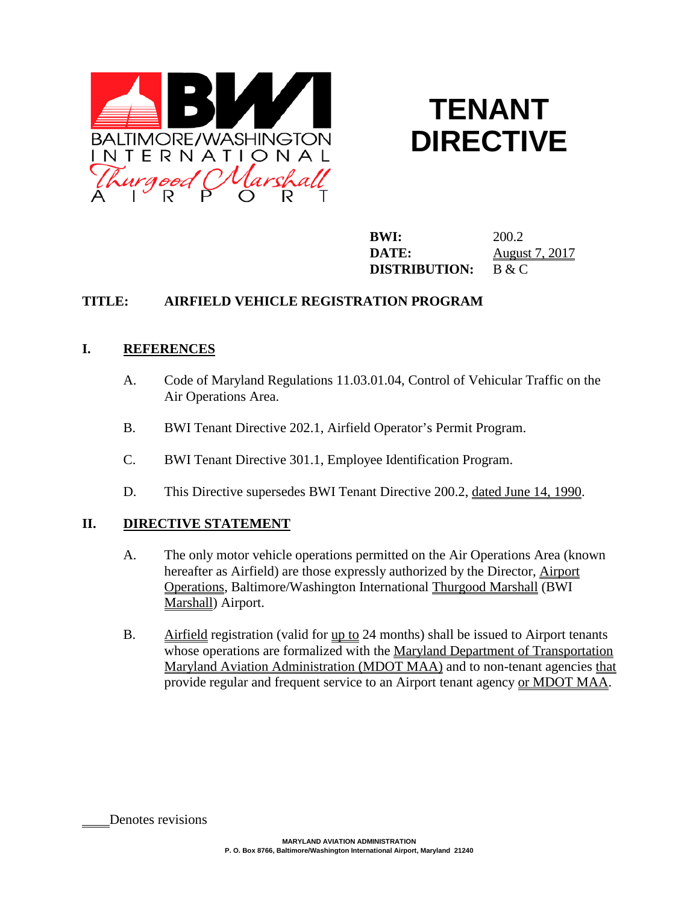

# **TENANT DIRECTIVE**

**BWI:** 200.2 **DATE:** August 7, 2017 **DISTRIBUTION:** B & C

## **TITLE: AIRFIELD VEHICLE REGISTRATION PROGRAM**

## **I. REFERENCES**

- A. Code of Maryland Regulations 11.03.01.04, Control of Vehicular Traffic on the Air Operations Area.
- B. BWI Tenant Directive 202.1, Airfield Operator's Permit Program.
- C. BWI Tenant Directive 301.1, Employee Identification Program.
- D. This Directive supersedes BWI Tenant Directive 200.2, dated June 14, 1990.

## **II. DIRECTIVE STATEMENT**

- A. The only motor vehicle operations permitted on the Air Operations Area (known hereafter as Airfield) are those expressly authorized by the Director, Airport Operations, Baltimore/Washington International Thurgood Marshall (BWI Marshall) Airport.
- B. Airfield registration (valid for <u>up to</u> 24 months) shall be issued to Airport tenants whose operations are formalized with the Maryland Department of Transportation Maryland Aviation Administration (MDOT MAA) and to non-tenant agencies that provide regular and frequent service to an Airport tenant agency or MDOT MAA.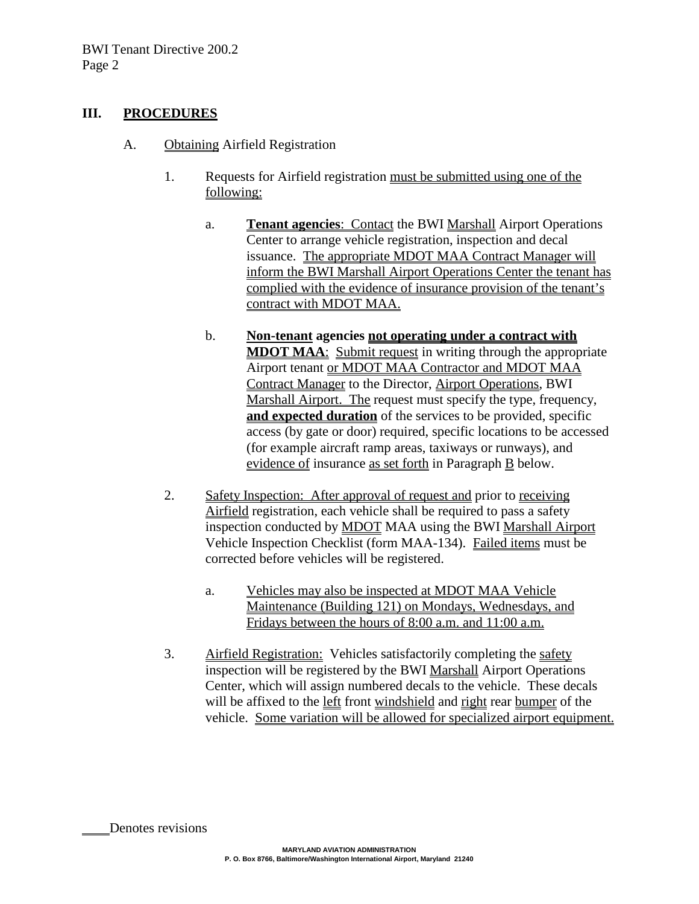#### **III. PROCEDURES**

- A. Obtaining Airfield Registration
	- 1. Requests for Airfield registration must be submitted using one of the following:
		- a. **Tenant agencies**: Contact the BWI Marshall Airport Operations Center to arrange vehicle registration, inspection and decal issuance. The appropriate MDOT MAA Contract Manager will inform the BWI Marshall Airport Operations Center the tenant has complied with the evidence of insurance provision of the tenant's contract with MDOT MAA.
		- b. **Non-tenant agencies not operating under a contract with MDOT MAA**: Submit request in writing through the appropriate Airport tenant or MDOT MAA Contractor and MDOT MAA Contract Manager to the Director, Airport Operations, BWI Marshall Airport. The request must specify the type, frequency, **and expected duration** of the services to be provided, specific access (by gate or door) required, specific locations to be accessed (for example aircraft ramp areas, taxiways or runways), and evidence of insurance as set forth in Paragraph B below.
	- 2. Safety Inspection: After approval of request and prior to receiving Airfield registration, each vehicle shall be required to pass a safety inspection conducted by MDOT MAA using the BWI Marshall Airport Vehicle Inspection Checklist (form MAA-134). Failed items must be corrected before vehicles will be registered.
		- a. Vehicles may also be inspected at MDOT MAA Vehicle Maintenance (Building 121) on Mondays, Wednesdays, and Fridays between the hours of 8:00 a.m. and 11:00 a.m.
	- 3. Airfield Registration: Vehicles satisfactorily completing the safety inspection will be registered by the BWI Marshall Airport Operations Center, which will assign numbered decals to the vehicle. These decals will be affixed to the left front windshield and right rear bumper of the vehicle. Some variation will be allowed for specialized airport equipment.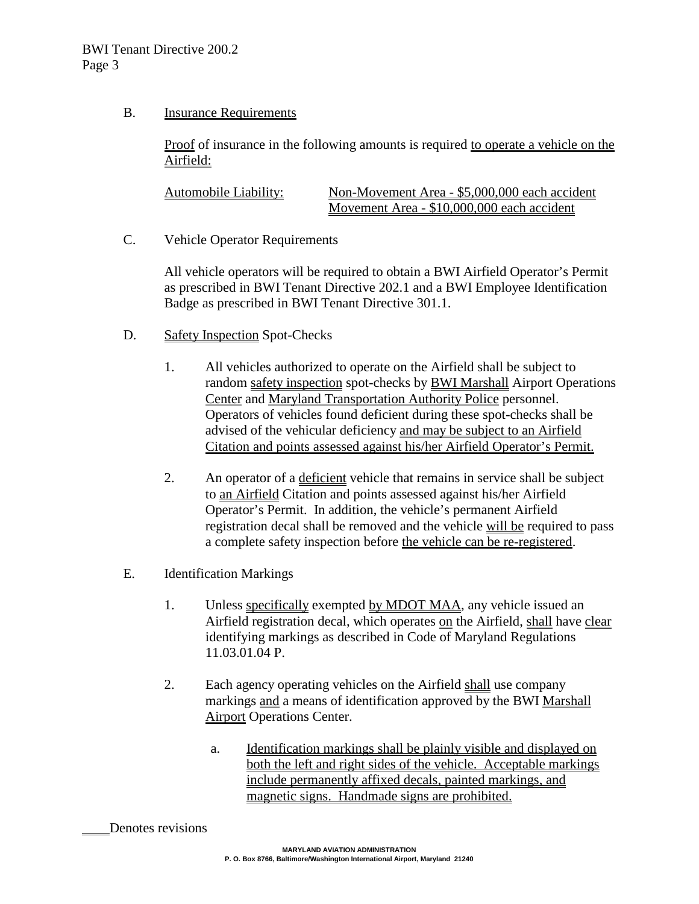#### B. Insurance Requirements

Proof of insurance in the following amounts is required to operate a vehicle on the Airfield:

| Automobile Liability: | Non-Movement Area - \$5,000,000 each accident |
|-----------------------|-----------------------------------------------|
|                       | Movement Area - \$10,000,000 each accident    |

C. Vehicle Operator Requirements

All vehicle operators will be required to obtain a BWI Airfield Operator's Permit as prescribed in BWI Tenant Directive 202.1 and a BWI Employee Identification Badge as prescribed in BWI Tenant Directive 301.1.

- D. Safety Inspection Spot-Checks
	- 1. All vehicles authorized to operate on the Airfield shall be subject to random safety inspection spot-checks by BWI Marshall Airport Operations Center and Maryland Transportation Authority Police personnel. Operators of vehicles found deficient during these spot-checks shall be advised of the vehicular deficiency and may be subject to an Airfield Citation and points assessed against his/her Airfield Operator's Permit.
	- 2. An operator of a deficient vehicle that remains in service shall be subject to an Airfield Citation and points assessed against his/her Airfield Operator's Permit. In addition, the vehicle's permanent Airfield registration decal shall be removed and the vehicle will be required to pass a complete safety inspection before the vehicle can be re-registered.
- E. Identification Markings
	- 1. Unless specifically exempted by MDOT MAA, any vehicle issued an Airfield registration decal, which operates on the Airfield, shall have clear identifying markings as described in Code of Maryland Regulations 11.03.01.04 P.
	- 2. Each agency operating vehicles on the Airfield shall use company markings and a means of identification approved by the BWI Marshall Airport Operations Center.
		- a. Identification markings shall be plainly visible and displayed on both the left and right sides of the vehicle. Acceptable markings include permanently affixed decals, painted markings, and magnetic signs. Handmade signs are prohibited.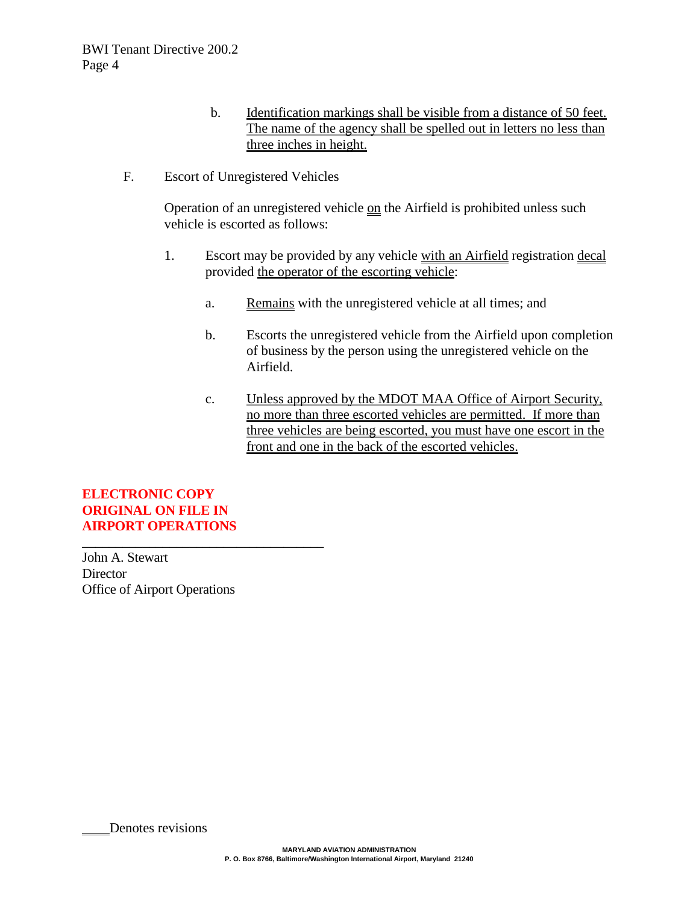- b. Identification markings shall be visible from a distance of 50 feet. The name of the agency shall be spelled out in letters no less than three inches in height.
- F. Escort of Unregistered Vehicles

Operation of an unregistered vehicle on the Airfield is prohibited unless such vehicle is escorted as follows:

- 1. Escort may be provided by any vehicle with an Airfield registration decal provided the operator of the escorting vehicle:
	- a. Remains with the unregistered vehicle at all times; and
	- b. Escorts the unregistered vehicle from the Airfield upon completion of business by the person using the unregistered vehicle on the Airfield.
	- c. Unless approved by the MDOT MAA Office of Airport Security, no more than three escorted vehicles are permitted. If more than three vehicles are being escorted, you must have one escort in the front and one in the back of the escorted vehicles.

**ELECTRONIC COPY ORIGINAL ON FILE IN AIRPORT OPERATIONS**

\_\_\_\_\_\_\_\_\_\_\_\_\_\_\_\_\_\_\_\_\_\_\_\_\_\_\_\_\_\_\_\_\_\_\_\_

John A. Stewart **Director** Office of Airport Operations